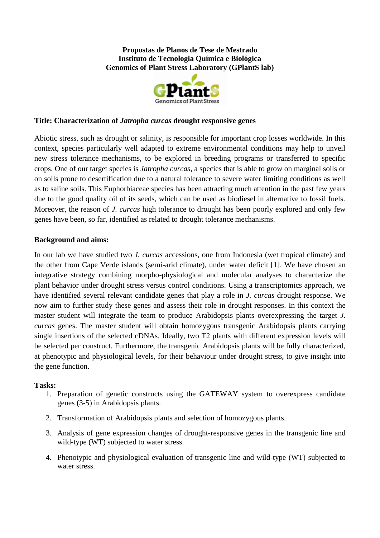**Propostas de Planos de Tese de Mestrado Instituto de Tecnologia Química e Biológica Genomics of Plant Stress Laboratory (GPlantS lab)**



### **Title: Characterization of** *Jatropha curcas* **drought responsive genes**

Abiotic stress, such as drought or salinity, is responsible for important crop losses worldwide. In this context, species particularly well adapted to extreme environmental conditions may help to unveil new stress tolerance mechanisms, to be explored in breeding programs or transferred to specific crops. One of our target species is *Jatropha curcas*, a species that is able to grow on marginal soils or on soils prone to desertification due to a natural tolerance to severe water limiting conditions as well as to saline soils. This Euphorbiaceae species has been attracting much attention in the past few years due to the good quality oil of its seeds, which can be used as biodiesel in alternative to fossil fuels. Moreover, the reason of *J. curcas* high tolerance to drought has been poorly explored and only few genes have been, so far, identified as related to drought tolerance mechanisms.

#### **Background and aims:**

In our lab we have studied two *J. curcas* accessions, one from Indonesia (wet tropical climate) and the other from Cape Verde islands (semi-arid climate), under water deficit [1]. We have chosen an integrative strategy combining morpho-physiological and molecular analyses to characterize the plant behavior under drought stress versus control conditions. Using a transcriptomics approach, we have identified several relevant candidate genes that play a role in *J. curcas* drought response. We now aim to further study these genes and assess their role in drought responses. In this context the master student will integrate the team to produce Arabidopsis plants overexpressing the target *J. curcas* genes. The master student will obtain homozygous transgenic Arabidopsis plants carrying single insertions of the selected cDNAs. Ideally, two T2 plants with different expression levels will be selected per construct. Furthermore, the transgenic Arabidopsis plants will be fully characterized, at phenotypic and physiological levels, for their behaviour under drought stress, to give insight into the gene function.

#### **Tasks:**

- 1. Preparation of genetic constructs using the GATEWAY system to overexpress candidate genes (3-5) in Arabidopsis plants.
- 2. Transformation of Arabidopsis plants and selection of homozygous plants.
- 3. Analysis of gene expression changes of drought-responsive genes in the transgenic line and wild-type (WT) subjected to water stress.
- 4. Phenotypic and physiological evaluation of transgenic line and wild-type (WT) subjected to water stress.